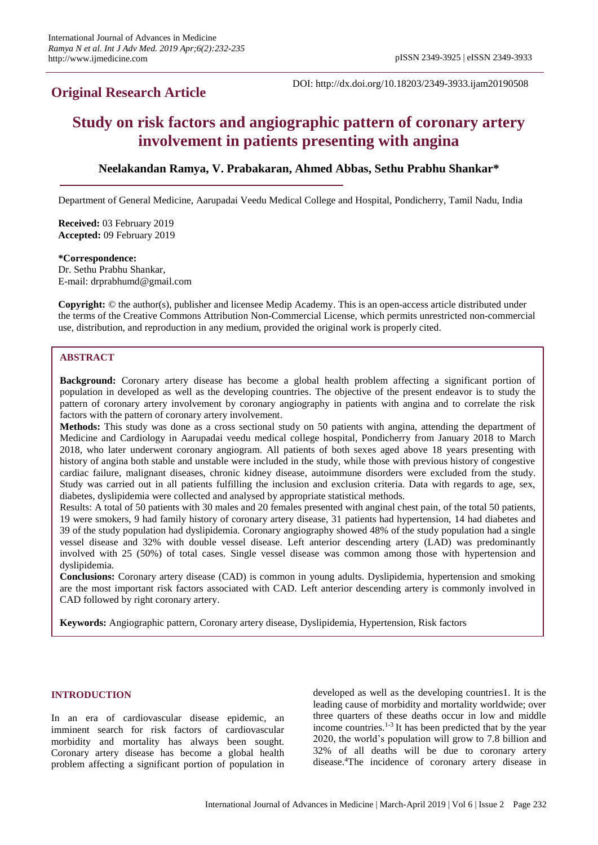## **Original Research Article**

DOI: http://dx.doi.org/10.18203/2349-3933.ijam20190508

# **Study on risk factors and angiographic pattern of coronary artery involvement in patients presenting with angina**

### **Neelakandan Ramya, V. Prabakaran, Ahmed Abbas, Sethu Prabhu Shankar\***

Department of General Medicine, Aarupadai Veedu Medical College and Hospital, Pondicherry, Tamil Nadu, India

**Received:** 03 February 2019 **Accepted:** 09 February 2019

#### **\*Correspondence:**

Dr. Sethu Prabhu Shankar, E-mail: drprabhumd@gmail.com

**Copyright:** © the author(s), publisher and licensee Medip Academy. This is an open-access article distributed under the terms of the Creative Commons Attribution Non-Commercial License, which permits unrestricted non-commercial use, distribution, and reproduction in any medium, provided the original work is properly cited.

#### **ABSTRACT**

**Background:** Coronary artery disease has become a global health problem affecting a significant portion of population in developed as well as the developing countries. The objective of the present endeavor is to study the pattern of coronary artery involvement by coronary angiography in patients with angina and to correlate the risk factors with the pattern of coronary artery involvement.

**Methods:** This study was done as a cross sectional study on 50 patients with angina, attending the department of Medicine and Cardiology in Aarupadai veedu medical college hospital, Pondicherry from January 2018 to March 2018, who later underwent coronary angiogram. All patients of both sexes aged above 18 years presenting with history of angina both stable and unstable were included in the study, while those with previous history of congestive cardiac failure, malignant diseases, chronic kidney disease, autoimmune disorders were excluded from the study. Study was carried out in all patients fulfilling the inclusion and exclusion criteria. Data with regards to age, sex, diabetes, dyslipidemia were collected and analysed by appropriate statistical methods.

Results: A total of 50 patients with 30 males and 20 females presented with anginal chest pain, of the total 50 patients, 19 were smokers, 9 had family history of coronary artery disease, 31 patients had hypertension, 14 had diabetes and 39 of the study population had dyslipidemia. Coronary angiography showed 48% of the study population had a single vessel disease and 32% with double vessel disease. Left anterior descending artery (LAD) was predominantly involved with 25 (50%) of total cases. Single vessel disease was common among those with hypertension and dyslipidemia.

**Conclusions:** Coronary artery disease (CAD) is common in young adults. Dyslipidemia, hypertension and smoking are the most important risk factors associated with CAD. Left anterior descending artery is commonly involved in CAD followed by right coronary artery.

**Keywords:** Angiographic pattern, Coronary artery disease, Dyslipidemia, Hypertension, Risk factors

#### **INTRODUCTION**

In an era of cardiovascular disease epidemic, an imminent search for risk factors of cardiovascular morbidity and mortality has always been sought. Coronary artery disease has become a global health problem affecting a significant portion of population in developed as well as the developing countries1. It is the leading cause of morbidity and mortality worldwide; over three quarters of these deaths occur in low and middle income countries.<sup>1-3</sup> It has been predicted that by the year 2020, the world's population will grow to 7.8 billion and 32% of all deaths will be due to coronary artery disease. <sup>4</sup>The incidence of coronary artery disease in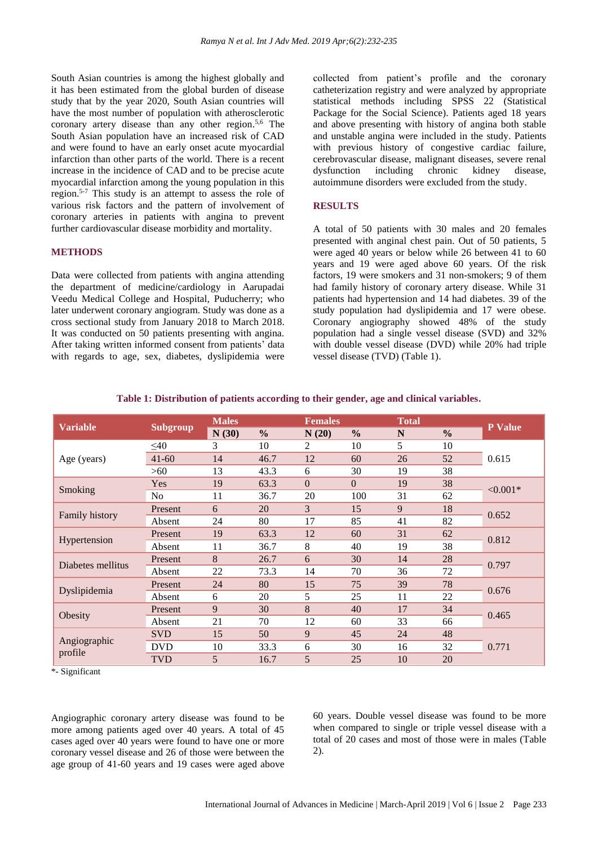South Asian countries is among the highest globally and it has been estimated from the global burden of disease study that by the year 2020, South Asian countries will have the most number of population with atherosclerotic coronary artery disease than any other region. 5,6 The South Asian population have an increased risk of CAD and were found to have an early onset acute myocardial infarction than other parts of the world. There is a recent increase in the incidence of CAD and to be precise acute myocardial infarction among the young population in this region.<sup>5-7</sup> This study is an attempt to assess the role of various risk factors and the pattern of involvement of coronary arteries in patients with angina to prevent further cardiovascular disease morbidity and mortality.

#### **METHODS**

Data were collected from patients with angina attending the department of medicine/cardiology in Aarupadai Veedu Medical College and Hospital, Puducherry; who later underwent coronary angiogram. Study was done as a cross sectional study from January 2018 to March 2018. It was conducted on 50 patients presenting with angina. After taking written informed consent from patients' data with regards to age, sex, diabetes, dyslipidemia were

collected from patient's profile and the coronary catheterization registry and were analyzed by appropriate statistical methods including SPSS 22 (Statistical Package for the Social Science). Patients aged 18 years and above presenting with history of angina both stable and unstable angina were included in the study. Patients with previous history of congestive cardiac failure, cerebrovascular disease, malignant diseases, severe renal dysfunction including chronic kidney disease, autoimmune disorders were excluded from the study.

#### **RESULTS**

A total of 50 patients with 30 males and 20 females presented with anginal chest pain. Out of 50 patients, 5 were aged 40 years or below while 26 between 41 to 60 years and 19 were aged above 60 years. Of the risk factors, 19 were smokers and 31 non-smokers; 9 of them had family history of coronary artery disease. While 31 patients had hypertension and 14 had diabetes. 39 of the study population had dyslipidemia and 17 were obese. Coronary angiography showed 48% of the study population had a single vessel disease (SVD) and 32% with double vessel disease (DVD) while 20% had triple vessel disease (TVD) (Table 1).

| <b>Variable</b>         |                 | <b>Males</b> |               | <b>Females</b> |               | <b>Total</b> |               | P Value   |  |
|-------------------------|-----------------|--------------|---------------|----------------|---------------|--------------|---------------|-----------|--|
|                         | <b>Subgroup</b> | N(30)        | $\frac{0}{0}$ | N(20)          | $\frac{0}{0}$ | N            | $\frac{6}{6}$ |           |  |
| Age (years)             | $\leq 40$       | 3            | 10            | 2              | 10            | 5            | 10            |           |  |
|                         | $41 - 60$       | 14           | 46.7          | 12             | 60            | 26           | 52            | 0.615     |  |
|                         | >60             | 13           | 43.3          | 6              | 30            | 19           | 38            |           |  |
|                         | Yes             | 19           | 63.3          | $\Omega$       | $\Omega$      | 19           | 38            |           |  |
| Smoking                 | N <sub>o</sub>  | 11           | 36.7          | 20             | 100           | 31           | 62            | $<0.001*$ |  |
|                         | Present         | 6            | 20            | 3              | 15            | 9            | 18            | 0.652     |  |
| Family history          | Absent          | 24           | 80            | 17             | 85            | 41           | 82            |           |  |
| Hypertension            | Present         | 19           | 63.3          | 12             | 60            | 31           | 62            | 0.812     |  |
|                         | Absent          | 11           | 36.7          | 8              | 40            | 19           | 38            |           |  |
| Diabetes mellitus       | Present         | 8            | 26.7          | 6              | 30            | 14           | 28            |           |  |
|                         | Absent          | 22           | 73.3          | 14             | 70            | 36           | 72            | 0.797     |  |
| Dyslipidemia            | Present         | 24           | 80            | 15             | 75            | 39           | 78            | 0.676     |  |
|                         | Absent          | 6            | 20            | 5              | 25            | 11           | 22            |           |  |
| Obesity                 | Present         | 9            | 30            | 8              | 40            | 17           | 34            | 0.465     |  |
|                         | Absent          | 21           | 70            | 12             | 60            | 33           | 66            |           |  |
| Angiographic<br>profile | <b>SVD</b>      | 15           | 50            | 9              | 45            | 24           | 48            |           |  |
|                         | <b>DVD</b>      | 10           | 33.3          | 6              | 30            | 16           | 32            | 0.771     |  |
|                         | <b>TVD</b>      | 5            | 16.7          | 5              | 25            | 10           | 20            |           |  |

#### **Table 1: Distribution of patients according to their gender, age and clinical variables.**

\*- Significant

Angiographic coronary artery disease was found to be more among patients aged over 40 years. A total of 45 cases aged over 40 years were found to have one or more coronary vessel disease and 26 of those were between the age group of 41-60 years and 19 cases were aged above

60 years. Double vessel disease was found to be more when compared to single or triple vessel disease with a total of 20 cases and most of those were in males (Table 2).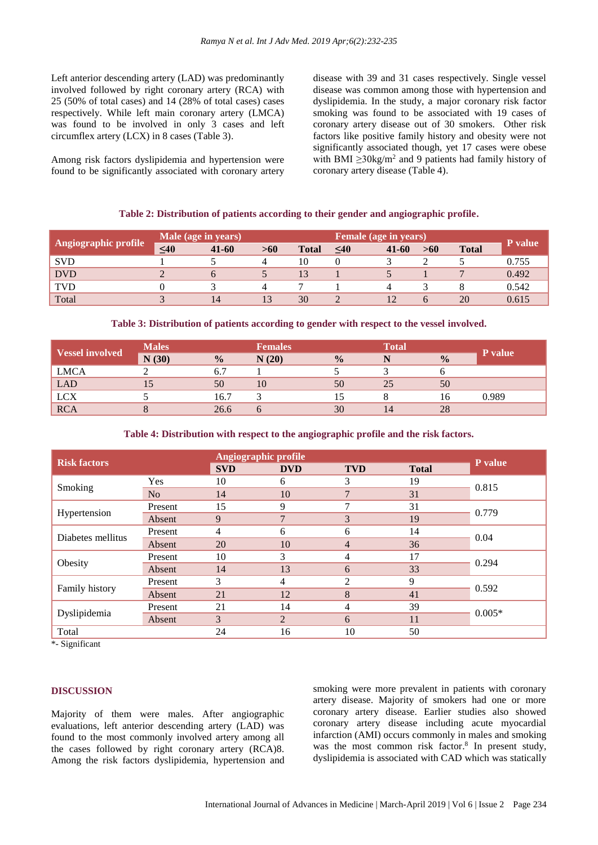Left anterior descending artery (LAD) was predominantly involved followed by right coronary artery (RCA) with 25 (50% of total cases) and 14 (28% of total cases) cases respectively. While left main coronary artery (LMCA) was found to be involved in only 3 cases and left circumflex artery (LCX) in 8 cases (Table 3).

Among risk factors dyslipidemia and hypertension were found to be significantly associated with coronary artery disease with 39 and 31 cases respectively. Single vessel disease was common among those with hypertension and dyslipidemia. In the study, a major coronary risk factor smoking was found to be associated with 19 cases of coronary artery disease out of 30 smokers. Other risk factors like positive family history and obesity were not significantly associated though, yet 17 cases were obese with BMI  $\geq$ 30kg/m<sup>2</sup> and 9 patients had family history of coronary artery disease (Table 4).

#### **Table 2: Distribution of patients according to their gender and angiographic profile.**

| Angiographic profile | Male (age in years) |              |     |              | Female (age in years) |           |     |              |                |
|----------------------|---------------------|--------------|-----|--------------|-----------------------|-----------|-----|--------------|----------------|
|                      | $\leq 40$           | $41 - 60$    | >60 | <b>Total</b> | $40$                  | $41 - 60$ | >60 | <b>Total</b> | <b>P</b> value |
| <b>SVD</b>           |                     |              |     | 10           |                       |           |     |              | 0.755          |
| <b>DVD</b>           |                     | <sub>0</sub> |     | 13           |                       |           |     |              | 0.492          |
| <b>TVD</b>           |                     |              |     |              |                       | 4         |     |              | 0.542          |
| Total                |                     | 14           | 13  | 30           |                       |           | O   | 20           | 0.615          |

#### **Table 3: Distribution of patients according to gender with respect to the vessel involved.**

| <b>Vessel involved</b> | <b>Males</b> |               | <b>Females</b> |               | <b>Total</b> |               |                |
|------------------------|--------------|---------------|----------------|---------------|--------------|---------------|----------------|
|                        | N(30)        | $\frac{0}{0}$ | N(20)          | $\frac{0}{0}$ | N            | $\frac{1}{2}$ | <b>P</b> value |
| <b>LMCA</b>            |              | 6.7           |                |               |              |               |                |
| <b>LAD</b>             |              | 50            | 10             | 50            | 25           | 50            |                |
| <b>LCX</b>             |              | 16.7          |                |               |              | 16            | 0.989          |
| <b>RCA</b>             |              | 26.6          |                | 30            | 14           | 28            |                |

#### **Table 4: Distribution with respect to the angiographic profile and the risk factors.**

| <b>Risk factors</b> |                | Angiographic profile |                |                |              |          |  |
|---------------------|----------------|----------------------|----------------|----------------|--------------|----------|--|
|                     |                | <b>SVD</b>           | <b>DVD</b>     | <b>TVD</b>     | <b>Total</b> | P value  |  |
|                     | Yes            | 10                   | 6              | 3              | 19           |          |  |
| Smoking             | N <sub>o</sub> | 14                   | 10             | $\overline{7}$ | 31           | 0.815    |  |
|                     | Present        | 15                   | 9              | 7              | 31           | 0.779    |  |
| Hypertension        | Absent         | 9                    | $\mathbf{r}$   | 3              | 19           |          |  |
| Diabetes mellitus   | Present        | 4                    | 6              | 6              | 14           | 0.04     |  |
|                     | Absent         | 20                   | 10             | $\overline{4}$ | 36           |          |  |
| Obesity             | Present        | 10                   | 3              | $\overline{4}$ | 17           |          |  |
|                     | Absent         | 14                   | 13             | 6              | 33           | 0.294    |  |
| Family history      | Present        | 3                    | 4              | $\overline{2}$ | 9            |          |  |
|                     | Absent         | 21                   | 12             | 8              | 41           | 0.592    |  |
| Dyslipidemia        | Present        | 21                   | 14             | 4              | 39           |          |  |
|                     | Absent         | 3                    | $\overline{2}$ | 6              | 11           | $0.005*$ |  |
| Total               |                | 24                   | 16             | 10             | 50           |          |  |

\*- Significant

#### **DISCUSSION**

Majority of them were males. After angiographic evaluations, left anterior descending artery (LAD) was found to the most commonly involved artery among all the cases followed by right coronary artery (RCA)8. Among the risk factors dyslipidemia, hypertension and smoking were more prevalent in patients with coronary artery disease. Majority of smokers had one or more coronary artery disease. Earlier studies also showed coronary artery disease including acute myocardial infarction (AMI) occurs commonly in males and smoking was the most common risk factor. 8 In present study, dyslipidemia is associated with CAD which was statically